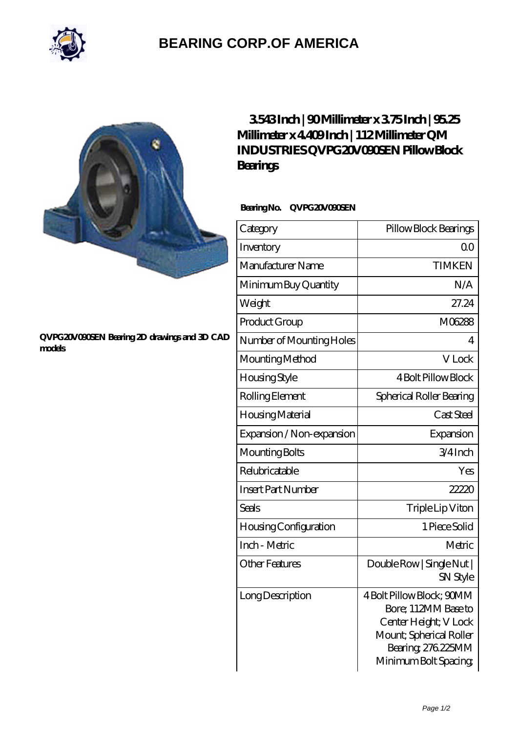

# **[BEARING CORP.OF AMERICA](https://bluemondayreview.com)**

#### **[QVPG20V090SEN Bearing 2D drawings and 3D CAD](https://bluemondayreview.com/pic-177064.html) [models](https://bluemondayreview.com/pic-177064.html)**

## **[3.543 Inch | 90 Millimeter x 3.75 Inch | 95.25](https://bluemondayreview.com/am-177064-qm-industries-qvpg20v090sen-pillow-block-bearings.html) [Millimeter x 4.409 Inch | 112 Millimeter QM](https://bluemondayreview.com/am-177064-qm-industries-qvpg20v090sen-pillow-block-bearings.html) [INDUSTRIES QVPG20V090SEN Pillow Block](https://bluemondayreview.com/am-177064-qm-industries-qvpg20v090sen-pillow-block-bearings.html) [Bearings](https://bluemondayreview.com/am-177064-qm-industries-qvpg20v090sen-pillow-block-bearings.html)**

### **Bearing No. QVPG20V090SEN**

| Category                     | Pillow Block Bearings                                                                                                                              |
|------------------------------|----------------------------------------------------------------------------------------------------------------------------------------------------|
| Inventory                    | ΩO                                                                                                                                                 |
| Manufacturer Name            | <b>TIMKEN</b>                                                                                                                                      |
| Minimum Buy Quantity         | N/A                                                                                                                                                |
| Weight                       | 27.24                                                                                                                                              |
| Product Group                | M06288                                                                                                                                             |
| Number of Mounting Holes     | 4                                                                                                                                                  |
| Mounting Method              | V Lock                                                                                                                                             |
| Housing Style                | <b>4 Bolt Pillow Block</b>                                                                                                                         |
| Rolling Element              | Spherical Roller Bearing                                                                                                                           |
| Housing Material             | Cast Steel                                                                                                                                         |
| Expansion / Non-expansion    | Expansion                                                                                                                                          |
| Mounting Bolts               | $3/4$ Inch                                                                                                                                         |
| Relubricatable               | Yes                                                                                                                                                |
| <b>Insert Part Number</b>    | 22220                                                                                                                                              |
| <b>Seals</b>                 | Triple Lip Viton                                                                                                                                   |
| <b>Housing Configuration</b> | 1 Piece Solid                                                                                                                                      |
| Inch - Metric                | Metric                                                                                                                                             |
| <b>Other Features</b>        | Double Row   Single Nut  <br>SN Style                                                                                                              |
| Long Description             | 4 Bolt Pillow Block; 90MM<br>Bore; 112MM Base to<br>Center Height; V Lock<br>Mount; Spherical Roller<br>Bearing, 276.225MM<br>Minimum Bolt Spacing |